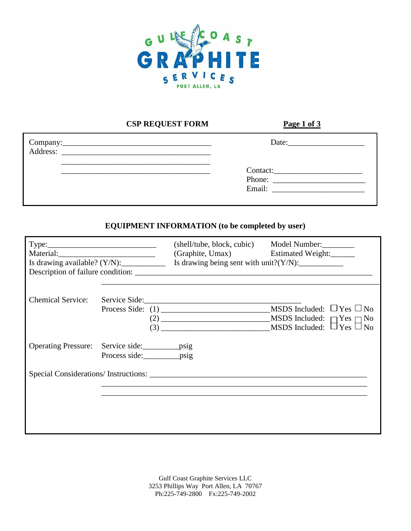

## **CSP REQUEST FORM Page 1 of 3**

| Address: |                    |
|----------|--------------------|
|          | Contact:<br>Phone: |
|          |                    |

## **EQUIPMENT INFORMATION (to be completed by user)**

|                          |                                                                                         | (Graphite, Umax) Estimated Weight:<br>Is drawing available? $(Y/N)$ : Is drawing being sent with unit? $(Y/N)$ :<br>Description of failure condition: | (shell/tube, block, cubic) Model Number:                                                                          |
|--------------------------|-----------------------------------------------------------------------------------------|-------------------------------------------------------------------------------------------------------------------------------------------------------|-------------------------------------------------------------------------------------------------------------------|
| <b>Chemical Service:</b> |                                                                                         | $\left(3\right)$                                                                                                                                      | MSDS Included: $\Box$ Yes $\Box$ No<br>MSDS Included: $\Box$ Yes $\Box$ No<br>MSDS Included: $\Box$ Yes $\Box$ No |
|                          | Operating Pressure: Service side: ________________psig<br>Process side: ___________psig |                                                                                                                                                       |                                                                                                                   |
|                          |                                                                                         |                                                                                                                                                       |                                                                                                                   |

Gulf Coast Graphite Services LLC 3253 Phillips Way Port Allen, LA 70767 Ph:225-749-2800 Fx:225-749-2002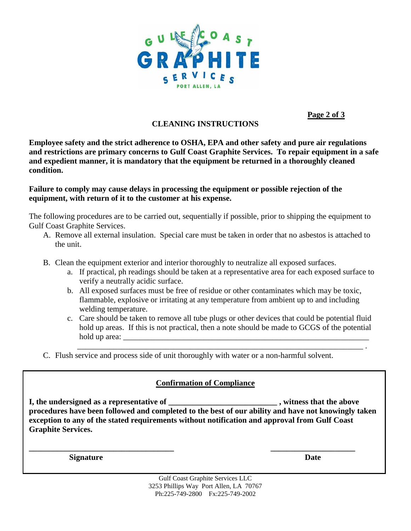

**Page 2 of 3**

## **CLEANING INSTRUCTIONS**

**Employee safety and the strict adherence to OSHA, EPA and other safety and pure air regulations and restrictions are primary concerns to Gulf Coast Graphite Services. To repair equipment in a safe and expedient manner, it is mandatory that the equipment be returned in a thoroughly cleaned condition.**

#### **Failure to comply may cause delays in processing the equipment or possible rejection of the equipment, with return of it to the customer at his expense.**

The following procedures are to be carried out, sequentially if possible, prior to shipping the equipment to Gulf Coast Graphite Services.

- A. Remove all external insulation. Special care must be taken in order that no asbestos is attached to the unit.
- B. Clean the equipment exterior and interior thoroughly to neutralize all exposed surfaces.
	- a. If practical, ph readings should be taken at a representative area for each exposed surface to verify a neutrally acidic surface.
	- b. All exposed surfaces must be free of residue or other contaminates which may be toxic, flammable, explosive or irritating at any temperature from ambient up to and including welding temperature.
	- c. Care should be taken to remove all tube plugs or other devices that could be potential fluid hold up areas. If this is not practical, then a note should be made to GCGS of the potential hold up area:  $\Box$

\_\_\_\_\_\_\_\_\_\_\_\_\_\_\_\_\_\_\_\_\_\_\_\_\_\_\_\_\_\_\_\_\_\_\_\_\_\_\_\_\_\_\_\_\_\_\_\_\_\_\_\_\_\_\_\_\_\_\_\_\_\_\_\_\_\_\_\_\_\_\_ .

C. Flush service and process side of unit thoroughly with water or a non-harmful solvent.

# **Confirmation of Compliance**

**I, the undersigned as a representative of \_\_\_\_\_\_\_\_\_\_\_\_\_\_\_\_\_\_\_\_\_\_\_\_\_\_\_ , witness that the above procedures have been followed and completed to the best of our ability and have not knowingly taken exception to any of the stated requirements without notification and approval from Gulf Coast Graphite Services.**

**\_\_\_\_\_\_\_\_\_\_\_\_\_\_\_\_\_\_\_\_\_\_\_\_\_\_\_\_\_\_\_\_\_\_\_\_ \_\_\_\_\_\_\_\_\_\_\_\_\_\_\_\_\_\_\_\_\_**

**Signature** Date **Date** 

Gulf Coast Graphite Services LLC 3253 Phillips Way Port Allen, LA 70767 Ph:225-749-2800 Fx:225-749-2002